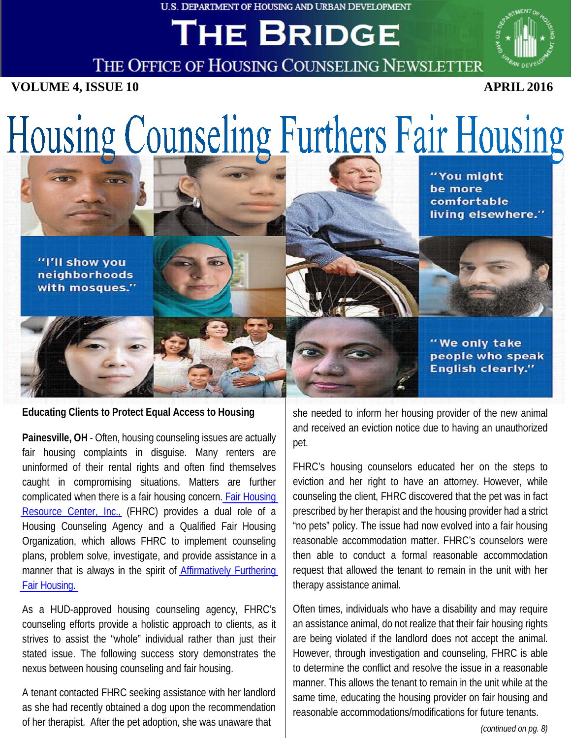U.S. DEPARTMENT OF HOUSING AND URBAN DEVELOPMENT

# THE BRIDGE



THE OFFICE OF HOUSING COUNSELING NEWSLETTER

**VOLUME 4, ISSUE 10 APRIL 2016**

# Housing Counseling Furthers Fair Housing

"I'll show you neighborhoods with mosques." "You might be more comfortable living elsewhere."

"We only take people who speak **English clearly."** 

**Educating Clients to Protect Equal Access to Housing**

**Painesville, OH** - Often, housing counseling issues are actually fair housing complaints in disguise. Many renters are uninformed of their rental rights and often find themselves caught in compromising situations. Matters are further complicated when there is a fair housing concern. Fair [Housing](http://www.fhrc.org/index.html) Resource [Center, Inc.,](http://www.fhrc.org/index.html) (FHRC) provides a dual role of a Housing Counseling Agency and a Qualified Fair Housing Organization, which allows FHRC to implement counseling plans, problem solve, investigate, and provide assistance in a manner that is always in the spirit of [Affirmatively](https://www.hudexchange.info/programs/affh/) Furthering [Fair Housing.](https://www.hudexchange.info/programs/affh/) 

As a HUD-approved housing counseling agency, FHRC's counseling efforts provide a holistic approach to clients, as it strives to assist the "whole" individual rather than just their stated issue. The following success story demonstrates the nexus between housing counseling and fair housing.

A tenant contacted FHRC seeking assistance with her landlord as she had recently obtained a dog upon the recommendation of her therapist. After the pet adoption, she was unaware that

she needed to inform her housing provider of the new animal and received an eviction notice due to having an unauthorized pet.

FHRC's housing counselors educated her on the steps to eviction and her right to have an attorney. However, while counseling the client, FHRC discovered that the pet was in fact prescribed by her therapist and the housing provider had a strict "no pets" policy. The issue had now evolved into a fair housing reasonable accommodation matter. FHRC's counselors were then able to conduct a formal reasonable accommodation request that allowed the tenant to remain in the unit with her therapy assistance animal.

Often times, individuals who have a disability and may require an assistance animal, do not realize that their fair housing rights are being violated if the landlord does not accept the animal. However, through investigation and counseling, FHRC is able to determine the conflict and resolve the issue in a reasonable manner. This allows the tenant to remain in the unit while at the same time, educating the housing provider on fair housing and reasonable accommodations/modifications for future tenants.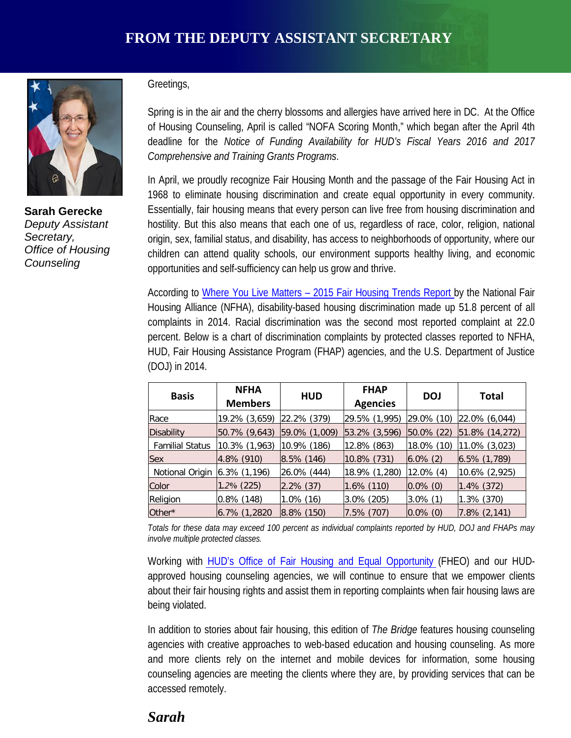

**Sarah Gerecke** *Deputy Assistant Secretary, Office of Housing Counseling*

#### Greetings,

Spring is in the air and the cherry blossoms and allergies have arrived here in DC. At the Office of Housing Counseling, April is called "NOFA Scoring Month," which began after the April 4th deadline for the *Notice of Funding Availability for HUD's Fiscal Years 2016 and 2017 Comprehensive and Training Grants Programs*.

In April, we proudly recognize Fair Housing Month and the passage of the Fair Housing Act in 1968 to eliminate housing discrimination and create equal opportunity in every community. Essentially, fair housing means that every person can live free from housing discrimination and hostility. But this also means that each one of us, regardless of race, color, religion, national origin, sex, familial status, and disability, has access to neighborhoods of opportunity, where our children can attend quality schools, our environment supports healthy living, and economic opportunities and self-sufficiency can help us grow and thrive.

According to Where You Live [Matters – 2015](http://www.nationalfairhousing.org/Portals/33/2015-04-30%20NFHA%20Trends%20Report%202015.pdf) Fair Housing Trends Report by the National Fair Housing Alliance (NFHA), disability-based housing discrimination made up 51.8 percent of all complaints in 2014. Racial discrimination was the second most reported complaint at 22.0 percent. Below is a chart of discrimination complaints by protected classes reported to NFHA, HUD, Fair Housing Assistance Program (FHAP) agencies, and the U.S. Department of Justice (DOJ) in 2014.

| <b>Basis</b>           | <b>NFHA</b><br><b>Members</b> | <b>HUD</b>    | <b>FHAP</b><br><b>Agencies</b> | <b>DOJ</b>      | Total             |
|------------------------|-------------------------------|---------------|--------------------------------|-----------------|-------------------|
| Race                   | 19.2% (3,659)                 | 22.2% (379)   | 29.5% (1,995)                  | $[29.0\% (10)]$ | $ 22.0\% (6.044)$ |
| <b>Disability</b>      | 50.7% (9,643)                 | 59.0% (1,009) | 53.2% (3,596)                  | $ 50.0\% $ (22) | 51.8% (14,272)    |
| <b>Familial Status</b> | 10.3% (1,963)                 | 10.9% (186)   | 12.8% (863)                    | 18.0% (10)      | $11.0\%$ (3,023)  |
| <b>Sex</b>             | 4.8% (910)                    | $8.5\%$ (146) | 10.8% (731)                    | $6.0\%$ (2)     | $ 6.5\% (1,789) $ |
| Notional Origin        | $6.3\%$ $(1,196)$             | 26.0% (444)   | 18.9% (1,280)                  | $12.0\%$ (4)    | 10.6% (2,925)     |
| Color                  | $1.2\%$ (225)                 | $2.2\%$ (37)  | $1.6\%$ (110)                  | $0.0\%$ (0)     | $1.4\%$ (372)     |
| Religion               | $0.8\%$ (148)                 | $1.0\%$ (16)  | $3.0\%$ (205)                  | $3.0\%$ (1)     | $1.3\%$ (370)     |
| Other*                 | 6.7% (1,2820                  | $8.8\%$ (150) | 7.5% (707)                     | $0.0\%$ (0)     | $7.8\%$ (2,141)   |

Totals for these data may exceed 100 percent as individual complaints reported by HUD, DOJ and FHAPs may *involve multiple protected classes.*

Working with HUD's Office of Fair Housing and Equal [Opportunity](http://portal.hud.gov/hudportal/HUD?src=/program_offices/fair_housing_equal_opp) (FHEO) and our HUDapproved housing counseling agencies, we will continue to ensure that we empower clients about their fair housing rights and assist them in reporting complaints when fair housing laws are being violated.

In addition to stories about fair housing, this edition of *The Bridge* features housing counseling agencies with creative approaches to web-based education and housing counseling. As more and more clients rely on the internet and mobile devices for information, some housing counseling agencies are meeting the clients where they are, by providing services that can be accessed remotely.

#### *Sarah*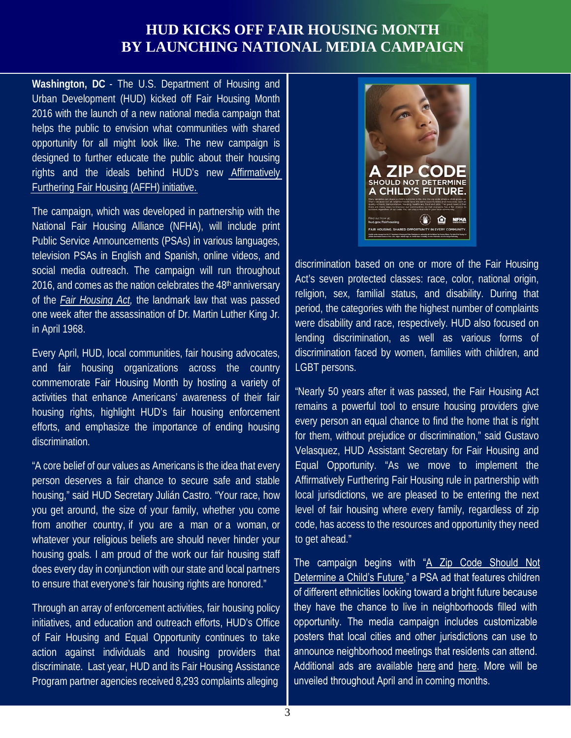#### **HUD KICKS OFF FAIR HOUSING MONTH BY LAUNCHING NATIONAL MEDIA CAMPAIGN**

**Washington, DC** - The U.S. Department of Housing and Urban Development (HUD) kicked off Fair Housing Month 2016 with the launch of a new national media campaign that helps the public to envision what communities with shared opportunity for all might look like. The new campaign is designed to further educate the public about their housing rights and the ideals behind HUD's new [Affirmatively](https://www.huduser.gov/portal/affht_pt.html#final-rule) [Furthering Fair Housing \(AFFH\) initiative.](https://www.huduser.gov/portal/affht_pt.html#final-rule)

The campaign, which was developed in partnership with the National Fair Housing Alliance (NFHA), will include print Public Service Announcements (PSAs) in various languages, television PSAs in English and Spanish, online videos, and social media outreach. The campaign will run throughout 2016, and comes as the nation celebrates the  $48<sup>th</sup>$  anniversary of the *Fair [Housing Act,](http://portal.hud.gov/hudportal/HUD?src=/program_offices/fair_housing_equal_opp/FHLaws/yourrights)* the landmark law that was passed one week after the assassination of Dr. Martin Luther King Jr. in April 1968.

Every April, HUD, local communities, fair housing advocates, and fair housing organizations across the country commemorate Fair Housing Month by hosting a variety of activities that enhance Americans' awareness of their fair housing rights, highlight HUD's fair housing enforcement efforts, and emphasize the importance of ending housing discrimination.

"A core belief of our values as Americans is the idea that every person deserves a fair chance to secure safe and stable housing," said HUD Secretary Julián Castro. "Your race, how you get around, the size of your family, whether you come from another country, if you are a man or a woman, or whatever your religious beliefs are should never hinder your housing goals. I am proud of the work our fair housing staff does every day in conjunction with our state and local partners to ensure that everyone's fair housing rights are honored."

Through an array of enforcement activities, fair housing policy initiatives, and education and outreach efforts, HUD's Office of Fair Housing and Equal Opportunity continues to take action against individuals and housing providers that discriminate. Last year, HUD and its Fair Housing Assistance Program partner agencies received 8,293 complaints alleging



discrimination based on one or more of the Fair Housing Act's seven protected classes: race, color, national origin, religion, sex, familial status, and disability. During that period, the categories with the highest number of complaints were disability and race, respectively. HUD also focused on lending discrimination, as well as various forms of discrimination faced by women, families with children, and LGBT persons.

"Nearly 50 years after it was passed, the Fair Housing Act remains a powerful tool to ensure housing providers give every person an equal chance to find the home that is right for them, without prejudice or discrimination," said Gustavo Velasquez, HUD Assistant Secretary for Fair Housing and Equal Opportunity. "As we move to implement the Affirmatively Furthering Fair Housing rule in partnership with local jurisdictions, we are pleased to be entering the next level of fair housing where every family, regardless of zip code, has access to the resources and opportunity they need to get ahead."

The campaign begins with "A Zip Code Should Not [Determine a Child's Future,"](http://portal.hud.gov/hudportal/documents/huddoc?id=NFHA_HUD2016_ZipCodeAA508.pdf) a PSA ad that features children of different ethnicities looking toward a bright future because they have the chance to live in neighborhoods filled with opportunity. The media campaign includes customizable posters that local cities and other jurisdictions can use to announce neighborhood meetings that residents can attend. Additional ads are available [here a](http://portal.hud.gov/hudportal/documents/huddoc?id=NFHA_HUD2016VibrantCom.pdf)nd [here.](http://portal.hud.gov/hudportal/documents/huddoc?id=NFHA_HUD2016ZipKids.pdf) More will be unveiled throughout April and in coming months.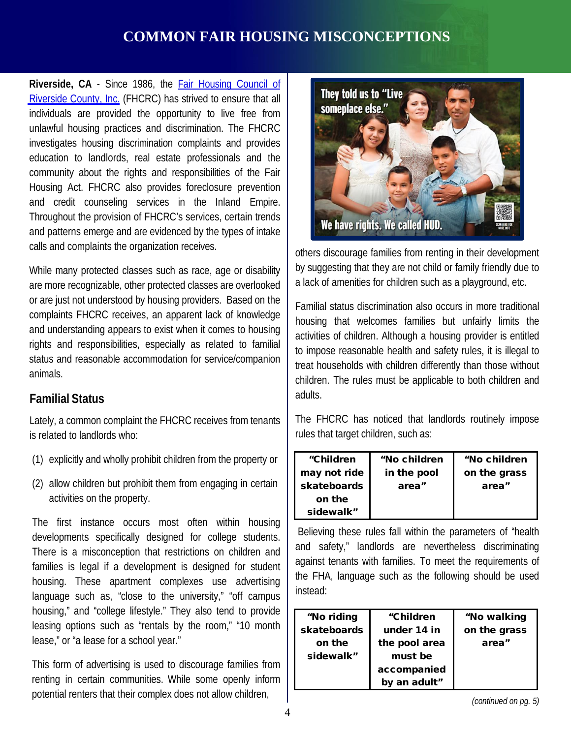## **COMMON FAIR HOUSING MISCONCEPTIONS**

**Riverside, CA** - Since 1986, the Fair [Housing](http://fairhousing.net/) Council of Riverside [County, Inc.](http://fairhousing.net/) (FHCRC) has strived to ensure that all individuals are provided the opportunity to live free from unlawful housing practices and discrimination. The FHCRC investigates housing discrimination complaints and provides education to landlords, real estate professionals and the community about the rights and responsibilities of the Fair Housing Act. FHCRC also provides foreclosure prevention and credit counseling services in the Inland Empire. Throughout the provision of FHCRC's services, certain trends and patterns emerge and are evidenced by the types of intake calls and complaints the organization receives.

While many protected classes such as race, age or disability are more recognizable, other protected classes are overlooked or are just not understood by housing providers. Based on the complaints FHCRC receives, an apparent lack of knowledge and understanding appears to exist when it comes to housing rights and responsibilities, especially as related to familial status and reasonable accommodation for service/companion animals.

#### **Familial Status**

Lately, a common complaint the FHCRC receives from tenants is related to landlords who:

- (1) explicitly and wholly prohibit children from the property or
- (2) allow children but prohibit them from engaging in certain activities on the property.

The first instance occurs most often within housing developments specifically designed for college students. There is a misconception that restrictions on children and families is legal if a development is designed for student housing. These apartment complexes use advertising language such as, "close to the university," "off campus housing," and "college lifestyle." They also tend to provide leasing options such as "rentals by the room," "10 month lease," or "a lease for a school year."

This form of advertising is used to discourage families from renting in certain communities. While some openly inform potential renters that their complex does not allow children,



others discourage families from renting in their development by suggesting that they are not child or family friendly due to a lack of amenities for children such as a playground, etc.

Familial status discrimination also occurs in more traditional housing that welcomes families but unfairly limits the activities of children. Although a housing provider is entitled to impose reasonable health and safety rules, it is illegal to treat households with children differently than those without children. The rules must be applicable to both children and adults.

The FHCRC has noticed that landlords routinely impose rules that target children, such as:

| "Children<br>may not ride<br>skateboards<br>on the | "No children<br>in the pool<br>area" | "No children<br>on the grass<br>area" |
|----------------------------------------------------|--------------------------------------|---------------------------------------|
| sidewalk"                                          |                                      |                                       |

Believing these rules fall within the parameters of "health and safety," landlords are nevertheless discriminating against tenants with families. To meet the requirements of the FHA, language such as the following should be used instead:

| "No riding  | "Children     | "No walking  |
|-------------|---------------|--------------|
| skateboards | under 14 in   | on the grass |
| on the      | the pool area | area"        |
| sidewalk"   | must be       |              |
|             | accompanied   |              |
|             | by an adult"  |              |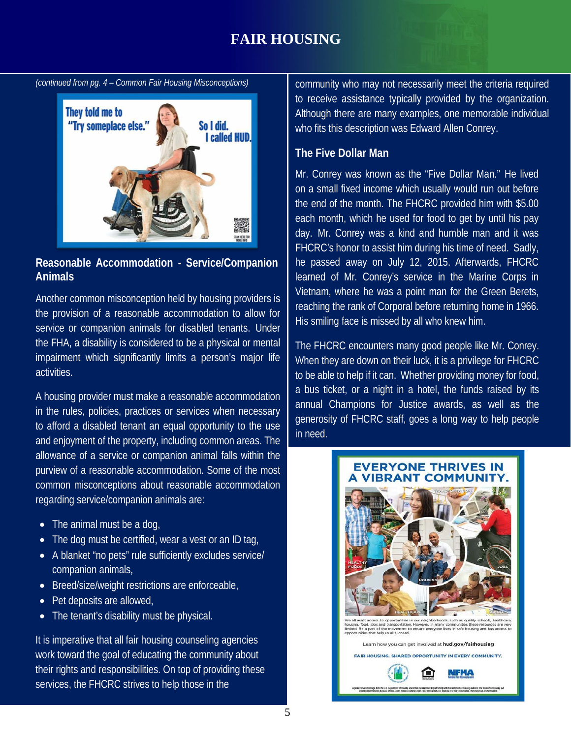## **FAIR HOUSING**

*(continued from pg. 4 – Common Fair Housing Misconceptions)*



#### **Reasonable Accommodation - Service/Companion Animals**

Another common misconception held by housing providers is the provision of a reasonable accommodation to allow for service or companion animals for disabled tenants. Under the FHA, a disability is considered to be a physical or mental impairment which significantly limits a person's major life activities.

A housing provider must make a reasonable accommodation in the rules, policies, practices or services when necessary to afford a disabled tenant an equal opportunity to the use and enjoyment of the property, including common areas. The allowance of a service or companion animal falls within the purview of a reasonable accommodation. Some of the most common misconceptions about reasonable accommodation regarding service/companion animals are:

- The animal must be a dog,
- The dog must be certified, wear a vest or an ID tag,
- A blanket "no pets" rule sufficiently excludes service/ companion animals,
- Breed/size/weight restrictions are enforceable,
- Pet deposits are allowed,
- The tenant's disability must be physical.

It is imperative that all fair housing counseling agencies work toward the goal of educating the community about their rights and responsibilities. On top of providing these services, the FHCRC strives to help those in the

community who may not necessarily meet the criteria required to receive assistance typically provided by the organization. Although there are many examples, one memorable individual who fits this description was Edward Allen Conrey.

#### **The Five Dollar Man**

Mr. Conrey was known as the "Five Dollar Man." He lived on a small fixed income which usually would run out before the end of the month. The FHCRC provided him with \$5.00 each month, which he used for food to get by until his pay day. Mr. Conrey was a kind and humble man and it was FHCRC's honor to assist him during his time of need. Sadly, he passed away on July 12, 2015. Afterwards, FHCRC learned of Mr. Conrey's service in the Marine Corps in Vietnam, where he was a point man for the Green Berets, reaching the rank of Corporal before returning home in 1966. His smiling face is missed by all who knew him.

The FHCRC encounters many good people like Mr. Conrey. When they are down on their luck, it is a privilege for FHCRC to be able to help if it can. Whether providing money for food, a bus ticket, or a night in a hotel, the funds raised by its annual Champions for Justice awards, as well as the generosity of FHCRC staff, goes a long way to help people in need.

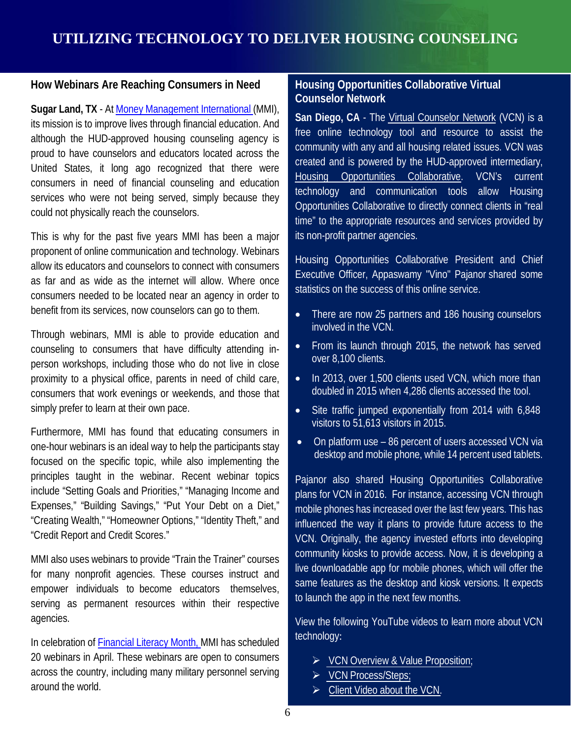#### **How Webinars Are Reaching Consumers in Need**

**Sugar Land, TX** - At Money [Management](http://www.moneymanagement.org/) International (MMI), its mission is to improve lives through financial education. And although the HUD-approved housing counseling agency is proud to have counselors and educators located across the United States, it long ago recognized that there were consumers in need of financial counseling and education services who were not being served, simply because they could not physically reach the counselors.

This is why for the past five years MMI has been a major proponent of online communication and technology. Webinars allow its educators and counselors to connect with consumers as far and as wide as the internet will allow. Where once consumers needed to be located near an agency in order to benefit from its services, now counselors can go to them.

Through webinars, MMI is able to provide education and counseling to consumers that have difficulty attending inperson workshops, including those who do not live in close proximity to a physical office, parents in need of child care, consumers that work evenings or weekends, and those that simply prefer to learn at their own pace.

Furthermore, MMI has found that educating consumers in one-hour webinars is an ideal way to help the participants stay focused on the specific topic, while also implementing the principles taught in the webinar. Recent webinar topics include "Setting Goals and Priorities," "Managing Income and Expenses," "Building Savings," "Put Your Debt on a Diet," "Creating Wealth," "Homeowner Options," "Identity Theft," and "Credit Report and Credit Scores."

MMI also uses webinars to provide "Train the Trainer" courses for many nonprofit agencies. These courses instruct and empower individuals to become educators themselves, serving as permanent resources within their respective agencies.

In celebration of [Financial](http://www.financialliteracymonth.com/) Literacy Month, MMI has scheduled 20 webinars in April. These webinars are open to consumers across the country, including many military personnel serving around the world.

#### **Housing Opportunities Collaborative Virtual Counselor Network**

**San Diego, CA** - The Virtual [Counselor](http://virtualcounselornetwork.org/) Network (VCN) is a free online technology tool and resource to assist the community with any and all housing related issues. VCN was created and is powered by the HUD-approved intermediary, Housing Opportunities [Collaborative.](http://housingcollaborative.org/) VCN's current technology and communication tools allow Housing Opportunities Collaborative to directly connect clients in "real time" to the appropriate resources and services provided by its non-profit partner agencies.

Housing Opportunities Collaborative President and Chief Executive Officer, Appaswamy "Vino" Pajanor shared some statistics on the success of this online service.

- There are now 25 partners and 186 housing counselors involved in the VCN.
- From its launch through 2015, the network has served over 8,100 clients.
- In 2013, over 1,500 clients used VCN, which more than doubled in 2015 when 4,286 clients accessed the tool.
- Site traffic jumped exponentially from 2014 with 6,848 visitors to 51,613 visitors in 2015.
- On platform use 86 percent of users accessed VCN via desktop and mobile phone, while 14 percent used tablets.

Pajanor also shared Housing Opportunities Collaborative plans for VCN in 2016. For instance, accessing VCN through mobile phones has increased over the last few years. This has influenced the way it plans to provide future access to the VCN. Originally, the agency invested efforts into developing community kiosks to provide access. Now, it is developing a live downloadable app for mobile phones, which will offer the same features as the desktop and kiosk versions. It expects to launch the app in the next few months.

View the following YouTube videos to learn more about VCN technology:

- ▶ VCN Overview & Value [Proposition;](https://www.youtube.com/watch?v=XjnFracNq6Y&feature=youtu.be)
- ▶ VCN [Process/Steps;](https://www.youtube.com/watch?v=nshccI_N9wI&feature=youtu.be)
- $\triangleright$  Client [Video about the](https://www.youtube.com/watch?v=MhMJjgmFoKE&feature=youtu.be) VCN.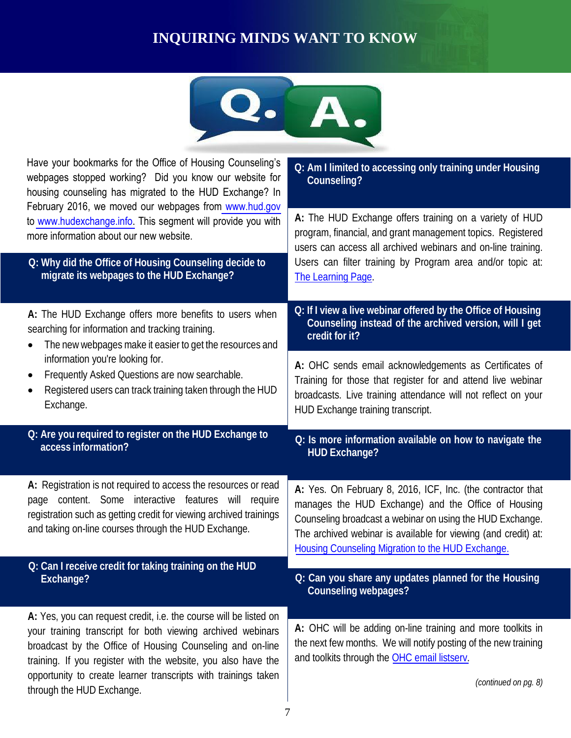# **INQUIRING MINDS WANT TO KNOW**



| Q: Am I limited to accessing only training under Housing<br>Counseling?                                                                                                                                                                                                                                |  |
|--------------------------------------------------------------------------------------------------------------------------------------------------------------------------------------------------------------------------------------------------------------------------------------------------------|--|
| A: The HUD Exchange offers training on a variety of HUD<br>program, financial, and grant management topics. Registered<br>users can access all archived webinars and on-line training.                                                                                                                 |  |
| Users can filter training by Program area and/or topic at:<br>The Learning Page.                                                                                                                                                                                                                       |  |
| Q: If I view a live webinar offered by the Office of Housing<br>Counseling instead of the archived version, will I get<br>credit for it?                                                                                                                                                               |  |
| A: OHC sends email acknowledgements as Certificates of<br>Training for those that register for and attend live webinar<br>broadcasts. Live training attendance will not reflect on your<br>HUD Exchange training transcript.                                                                           |  |
| Q: Is more information available on how to navigate the                                                                                                                                                                                                                                                |  |
| <b>HUD Exchange?</b>                                                                                                                                                                                                                                                                                   |  |
| A: Yes. On February 8, 2016, ICF, Inc. (the contractor that<br>manages the HUD Exchange) and the Office of Housing<br>Counseling broadcast a webinar on using the HUD Exchange.<br>The archived webinar is available for viewing (and credit) at:<br>Housing Counseling Migration to the HUD Exchange. |  |
| Q: Can you share any updates planned for the Housing<br><b>Counseling webpages?</b>                                                                                                                                                                                                                    |  |
|                                                                                                                                                                                                                                                                                                        |  |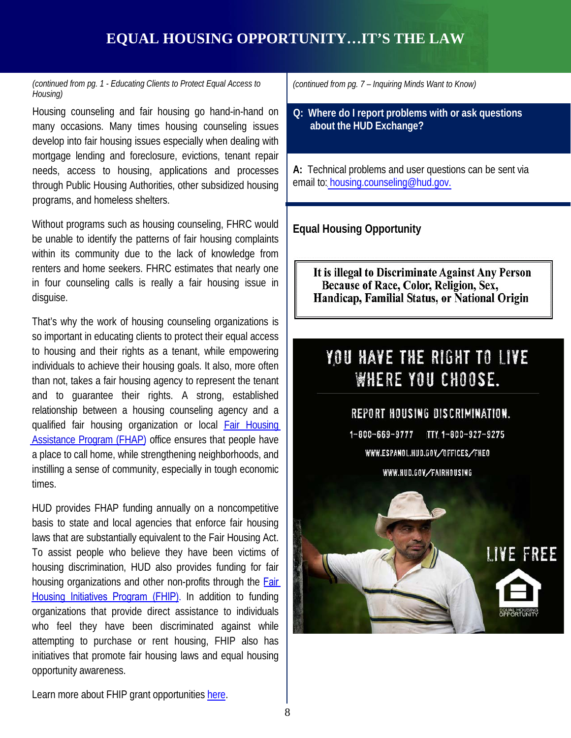# **EQUAL HOUSING OPPORTUNITY…IT'S THE LAW**

#### *(continued from pg. 1 - Educating Clients to Protect Equal Access to Housing)*

Housing counseling and fair housing go hand-in-hand on many occasions. Many times housing counseling issues develop into fair housing issues especially when dealing with mortgage lending and foreclosure, evictions, tenant repair needs, access to housing, applications and processes through Public Housing Authorities, other subsidized housing programs, and homeless shelters.

Without programs such as housing counseling, FHRC would be unable to identify the patterns of fair housing complaints within its community due to the lack of knowledge from renters and home seekers. FHRC estimates that nearly one in four counseling calls is really a fair housing issue in disguise.

That's why the work of housing counseling organizations is so important in educating clients to protect their equal access to housing and their rights as a tenant, while empowering individuals to achieve their housing goals. It also, more often than not, takes a fair housing agency to represent the tenant and to guarantee their rights. A strong, established relationship between a housing counseling agency and a qualified fair housing organization or local Fair [Housing](http://portal.hud.gov/hudportal/HUD?src=/program_offices/fair_housing_equal_opp/partners/FHAP/agencies) [Assistance](http://portal.hud.gov/hudportal/HUD?src=/program_offices/fair_housing_equal_opp/partners/FHAP/agencies) Program (FHAP) office ensures that people have a place to call home, while strengthening neighborhoods, and instilling a sense of community, especially in tough economic times.

HUD provides FHAP funding annually on a noncompetitive basis to state and local agencies that enforce fair housing laws that are substantially equivalent to the Fair Housing Act. To assist people who believe they have been victims of housing discrimination, HUD also provides funding for fair housing organizations and other non-profits through the [Fair](http://portal.hud.gov/hudportal/HUD?src=/program_offices/fair_housing_equal_opp/partners/FHIP/fhip) Housing [Initiatives](http://portal.hud.gov/hudportal/HUD?src=/program_offices/fair_housing_equal_opp/partners/FHIP/fhip) Program (FHIP). In addition to funding organizations that provide direct assistance to individuals who feel they have been discriminated against while attempting to purchase or rent housing, FHIP also has initiatives that promote fair housing laws and equal housing opportunity awareness.

*(continued from pg. 7 – Inquiring Minds Want to Know)*

**Q: Where do I report problems with or ask questions about the HUD Exchange?**

**A:** Technical problems and user questions can be sent via email to: [housing.counseling@hud.gov.](mailto:housing.counseling@hud.gov)

**Equal Housing Opportunity**

It is illegal to Discriminate Against Any Person Because of Race, Color, Religion, Sex, Handicap, Familial Status, or National Origin

# YOU HAVE THE RIGHT TO LIVE **WHERE YOU CHOOSE.**

#### REPORT HOUSING DISCRIMINATION.

 $1 - 800 - 669 - 9777$ TTY 1-800-927-9275 WWW.ESPANOL.HUD.GOV/OFFICES/FHEO WWW.HUD.GOV/FAIRHOUSING



Learn more about FHIP grant opportunities [here](http://portal.hud.gov/hudportal/HUD?src=/program_offices/fair_housing_equal_opp/partners/FHAP/agencies).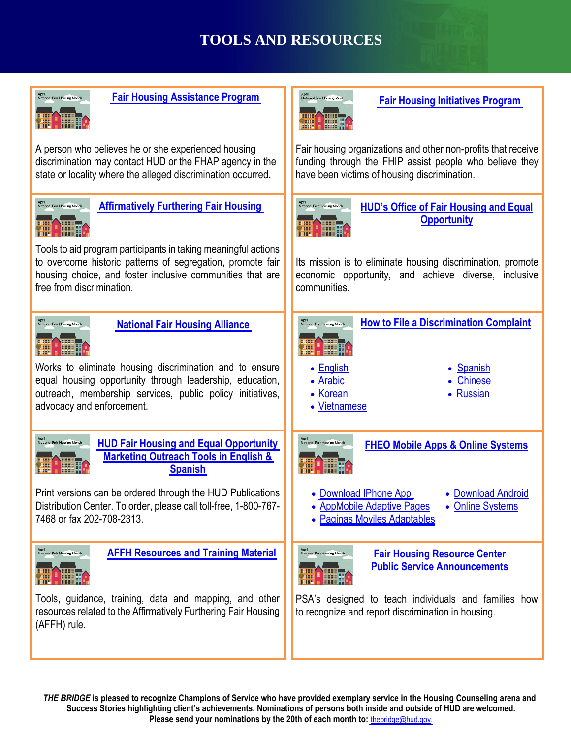# **TOOLS AND RESOURCES**



 9 **Success Stories highlighting client's achievements. Nominations of persons both inside and outside of HUD are welcomed.**  *THE BRIDGE* **is pleased to recognize Champions of Service who have provided exemplary service in the Housing Counseling arena and Please send your nominations by the 20th of each month to:** [thebridge@hud.gov.](mailto:thebridge@hud.gov)